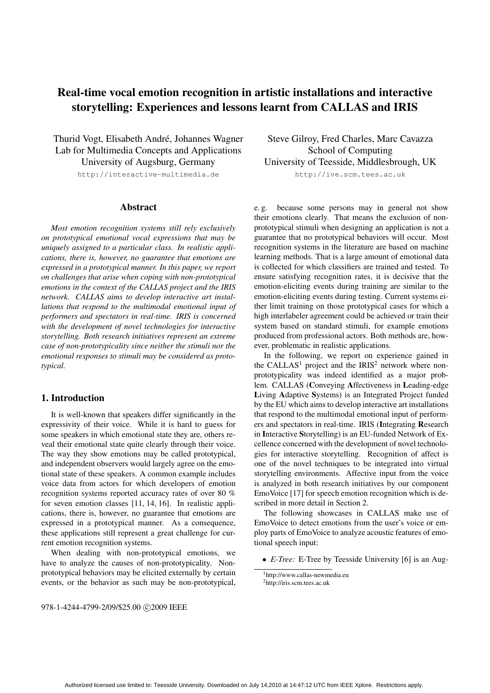# Real-time vocal emotion recognition in artistic installations and interactive storytelling: Experiences and lessons learnt from CALLAS and IRIS

Thurid Vogt, Elisabeth André, Johannes Wagner Lab for Multimedia Concepts and Applications University of Augsburg, Germany http://interactive-multimedia.de

#### Abstract

*Most emotion recognition systems still rely exclusively on prototypical emotional vocal expressions that may be uniquely assigned to a particular class. In realistic applications, there is, however, no guarantee that emotions are expressed in a prototypical manner. In this paper, we report on challenges that arise when coping with non-prototypical emotions in the context of the CALLAS project and the IRIS network. CALLAS aims to develop interactive art installations that respond to the multimodal emotional input of performers and spectators in real-time. IRIS is concerned with the development of novel technologies for interactive storytelling. Both research initiatives represent an extreme case of non-prototypicality since neither the stimuli nor the emotional responses to stimuli may be considered as prototypical.*

# 1. Introduction

It is well-known that speakers differ significantly in the expressivity of their voice. While it is hard to guess for some speakers in which emotional state they are, others reveal their emotional state quite clearly through their voice. The way they show emotions may be called prototypical, and independent observers would largely agree on the emotional state of these speakers. A common example includes voice data from actors for which developers of emotion recognition systems reported accuracy rates of over 80 % for seven emotion classes [11, 14, 16]. In realistic applications, there is, however, no guarantee that emotions are expressed in a prototypical manner. As a consequence, these applications still represent a great challenge for current emotion recognition systems.

When dealing with non-prototypical emotions, we have to analyze the causes of non-prototypicality. Nonprototypical behaviors may be elicited externally by certain events, or the behavior as such may be non-prototypical,

Steve Gilroy, Fred Charles, Marc Cavazza School of Computing University of Teesside, Middlesbrough, UK http://ive.scm.tees.ac.uk

e. g. because some persons may in general not show their emotions clearly. That means the exclusion of nonprototypical stimuli when designing an application is not a guarantee that no prototypical behaviors will occur. Most recognition systems in the literature are based on machine learning methods. That is a large amount of emotional data is collected for which classifiers are trained and tested. To ensure satisfying recognition rates, it is decisive that the emotion-eliciting events during training are similar to the emotion-eliciting events during testing. Current systems either limit training on those prototypical cases for which a high interlabeler agreement could be achieved or train their system based on standard stimuli, for example emotions produced from professional actors. Both methods are, however, problematic in realistic applications.

In the following, we report on experience gained in the CALLAS<sup>1</sup> project and the IRIS<sup>2</sup> network where nonprototypicality was indeed identified as a major problem. CALLAS (Conveying Affectiveness in Leading-edge Living Adaptive Systems) is an Integrated Project funded by the EU which aims to develop interactive art installations that respond to the multimodal emotional input of performers and spectators in real-time. IRIS (Integrating Research in Interactive Storytelling) is an EU-funded Network of Excellence concerned with the development of novel technologies for interactive storytelling. Recognition of affect is one of the novel techniques to be integrated into virtual storytelling environments. Affective input from the voice is analyzed in both research initiatives by our component EmoVoice [17] for speech emotion recognition which is described in more detail in Section 2.

The following showcases in CALLAS make use of EmoVoice to detect emotions from the user's voice or employ parts of EmoVoice to analyze acoustic features of emotional speech input:

• *E-Tree:* E-Tree by Teesside University [6] is an Aug-

978-1-4244-4799-2/09/\$25.00 C2009 IEEE

<sup>1</sup>http://www.callas-newmedia.eu

<sup>2</sup>http://iris.scm.tees.ac.uk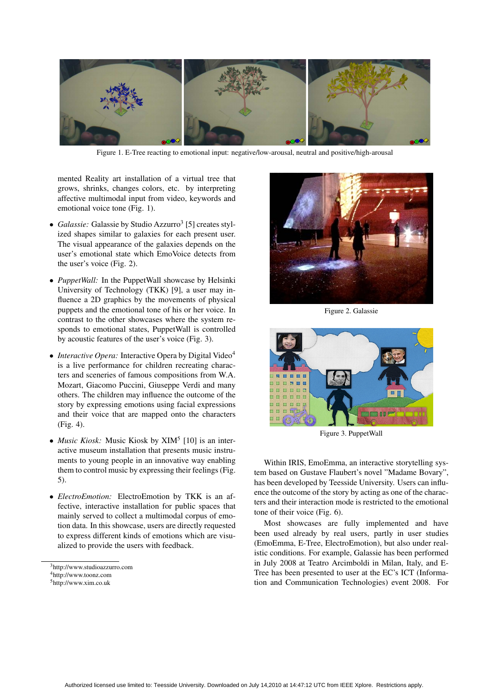

Figure 1. E-Tree reacting to emotional input: negative/low-arousal, neutral and positive/high-arousal

mented Reality art installation of a virtual tree that grows, shrinks, changes colors, etc. by interpreting affective multimodal input from video, keywords and emotional voice tone (Fig. 1).

- *Galassie:* Galassie by Studio Azzurro<sup>3</sup> [5] creates stylized shapes similar to galaxies for each present user. The visual appearance of the galaxies depends on the user's emotional state which EmoVoice detects from the user's voice (Fig. 2).
- *PuppetWall:* In the PuppetWall showcase by Helsinki University of Technology (TKK) [9], a user may influence a 2D graphics by the movements of physical puppets and the emotional tone of his or her voice. In contrast to the other showcases where the system responds to emotional states, PuppetWall is controlled by acoustic features of the user's voice (Fig. 3).
- *Interactive Opera:* Interactive Opera by Digital Video<sup>4</sup> is a live performance for children recreating characters and sceneries of famous compositions from W.A. Mozart, Giacomo Puccini, Giuseppe Verdi and many others. The children may influence the outcome of the story by expressing emotions using facial expressions and their voice that are mapped onto the characters (Fig. 4).
- *Music Kiosk:* Music Kiosk by XIM<sup>5</sup> [10] is an interactive museum installation that presents music instruments to young people in an innovative way enabling them to control music by expressing their feelings (Fig. 5).
- *ElectroEmotion:* ElectroEmotion by TKK is an affective, interactive installation for public spaces that mainly served to collect a multimodal corpus of emotion data. In this showcase, users are directly requested to express different kinds of emotions which are visualized to provide the users with feedback.



Figure 2. Galassie



Figure 3. PuppetWall

Within IRIS, EmoEmma, an interactive storytelling system based on Gustave Flaubert's novel "Madame Bovary", has been developed by Teesside University. Users can influence the outcome of the story by acting as one of the characters and their interaction mode is restricted to the emotional tone of their voice (Fig. 6).

Most showcases are fully implemented and have been used already by real users, partly in user studies (EmoEmma, E-Tree, ElectroEmotion), but also under realistic conditions. For example, Galassie has been performed in July 2008 at Teatro Arcimboldi in Milan, Italy, and E-Tree has been presented to user at the EC's ICT (Information and Communication Technologies) event 2008. For

<sup>3</sup>http://www.studioazzurro.com

<sup>4</sup>http://www.toonz.com

<sup>5</sup>http://www.xim.co.uk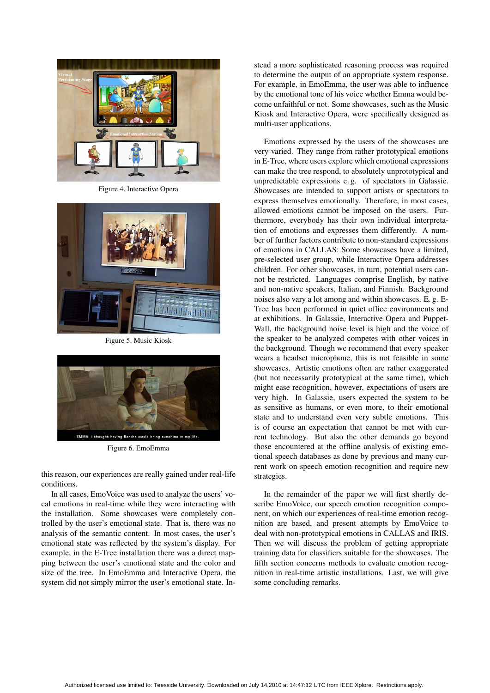

Figure 4. Interactive Opera



Figure 5. Music Kiosk



Figure 6. EmoEmma

this reason, our experiences are really gained under real-life conditions.

In all cases, EmoVoice was used to analyze the users' vocal emotions in real-time while they were interacting with the installation. Some showcases were completely controlled by the user's emotional state. That is, there was no analysis of the semantic content. In most cases, the user's emotional state was reflected by the system's display. For example, in the E-Tree installation there was a direct mapping between the user's emotional state and the color and size of the tree. In EmoEmma and Interactive Opera, the system did not simply mirror the user's emotional state. Instead a more sophisticated reasoning process was required to determine the output of an appropriate system response. For example, in EmoEmma, the user was able to influence by the emotional tone of his voice whether Emma would become unfaithful or not. Some showcases, such as the Music Kiosk and Interactive Opera, were specifically designed as multi-user applications.

Emotions expressed by the users of the showcases are very varied. They range from rather prototypical emotions in E-Tree, where users explore which emotional expressions can make the tree respond, to absolutely unprototypical and unpredictable expressions e. g. of spectators in Galassie. Showcases are intended to support artists or spectators to express themselves emotionally. Therefore, in most cases, allowed emotions cannot be imposed on the users. Furthermore, everybody has their own individual interpretation of emotions and expresses them differently. A number of further factors contribute to non-standard expressions of emotions in CALLAS: Some showcases have a limited, pre-selected user group, while Interactive Opera addresses children. For other showcases, in turn, potential users cannot be restricted. Languages comprise English, by native and non-native speakers, Italian, and Finnish. Background noises also vary a lot among and within showcases. E. g. E-Tree has been performed in quiet office environments and at exhibitions. In Galassie, Interactive Opera and Puppet-Wall, the background noise level is high and the voice of the speaker to be analyzed competes with other voices in the background. Though we recommend that every speaker wears a headset microphone, this is not feasible in some showcases. Artistic emotions often are rather exaggerated (but not necessarily prototypical at the same time), which might ease recognition, however, expectations of users are very high. In Galassie, users expected the system to be as sensitive as humans, or even more, to their emotional state and to understand even very subtle emotions. This is of course an expectation that cannot be met with current technology. But also the other demands go beyond those encountered at the offline analysis of existing emotional speech databases as done by previous and many current work on speech emotion recognition and require new strategies.

In the remainder of the paper we will first shortly describe EmoVoice, our speech emotion recognition component, on which our experiences of real-time emotion recognition are based, and present attempts by EmoVoice to deal with non-prototypical emotions in CALLAS and IRIS. Then we will discuss the problem of getting appropriate training data for classifiers suitable for the showcases. The fifth section concerns methods to evaluate emotion recognition in real-time artistic installations. Last, we will give some concluding remarks.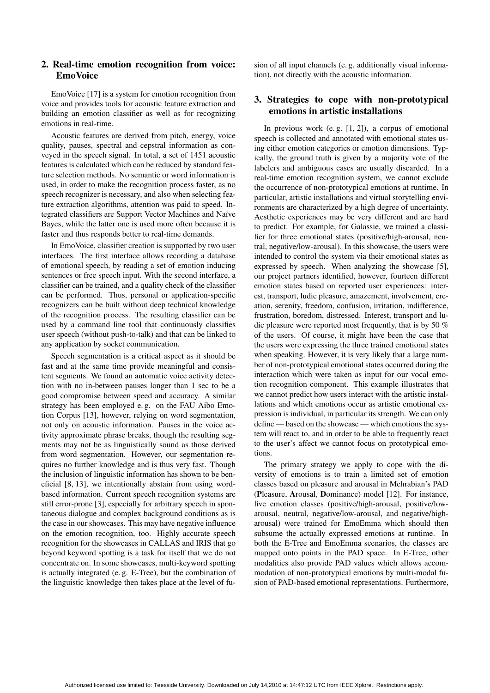# 2. Real-time emotion recognition from voice: EmoVoice

EmoVoice [17] is a system for emotion recognition from voice and provides tools for acoustic feature extraction and building an emotion classifier as well as for recognizing emotions in real-time.

Acoustic features are derived from pitch, energy, voice quality, pauses, spectral and cepstral information as conveyed in the speech signal. In total, a set of 1451 acoustic features is calculated which can be reduced by standard feature selection methods. No semantic or word information is used, in order to make the recognition process faster, as no speech recognizer is necessary, and also when selecting feature extraction algorithms, attention was paid to speed. Integrated classifiers are Support Vector Machines and Naïve Bayes, while the latter one is used more often because it is faster and thus responds better to real-time demands.

In EmoVoice, classifier creation is supported by two user interfaces. The first interface allows recording a database of emotional speech, by reading a set of emotion inducing sentences or free speech input. With the second interface, a classifier can be trained, and a quality check of the classifier can be performed. Thus, personal or application-specific recognizers can be built without deep technical knowledge of the recognition process. The resulting classifier can be used by a command line tool that continuously classifies user speech (without push-to-talk) and that can be linked to any application by socket communication.

Speech segmentation is a critical aspect as it should be fast and at the same time provide meaningful and consistent segments. We found an automatic voice activity detection with no in-between pauses longer than 1 sec to be a good compromise between speed and accuracy. A similar strategy has been employed e. g. on the FAU Aibo Emotion Corpus [13], however, relying on word segmentation, not only on acoustic information. Pauses in the voice activity approximate phrase breaks, though the resulting segments may not be as linguistically sound as those derived from word segmentation. However, our segmentation requires no further knowledge and is thus very fast. Though the inclusion of linguistic information has shown to be beneficial [8, 13], we intentionally abstain from using wordbased information. Current speech recognition systems are still error-prone [3], especially for arbitrary speech in spontaneous dialogue and complex background conditions as is the case in our showcases. This may have negative influence on the emotion recognition, too. Highly accurate speech recognition for the showcases in CALLAS and IRIS that go beyond keyword spotting is a task for itself that we do not concentrate on. In some showcases, multi-keyword spotting is actually integrated (e. g. E-Tree), but the combination of the linguistic knowledge then takes place at the level of fusion of all input channels (e. g. additionally visual information), not directly with the acoustic information.

# 3. Strategies to cope with non-prototypical emotions in artistic installations

In previous work (e.g.  $[1, 2]$ ), a corpus of emotional speech is collected and annotated with emotional states using either emotion categories or emotion dimensions. Typically, the ground truth is given by a majority vote of the labelers and ambiguous cases are usually discarded. In a real-time emotion recognition system, we cannot exclude the occurrence of non-prototypical emotions at runtime. In particular, artistic installations and virtual storytelling environments are characterized by a high degree of uncertainty. Aesthetic experiences may be very different and are hard to predict. For example, for Galassie, we trained a classifier for three emotional states (positive/high-arousal, neutral, negative/low-arousal). In this showcase, the users were intended to control the system via their emotional states as expressed by speech. When analyzing the showcase [5], our project partners identified, however, fourteen different emotion states based on reported user experiences: interest, transport, ludic pleasure, amazement, involvement, creation, serenity, freedom, confusion, irritation, indifference, frustration, boredom, distressed. Interest, transport and ludic pleasure were reported most frequently, that is by 50 % of the users. Of course, it might have been the case that the users were expressing the three trained emotional states when speaking. However, it is very likely that a large number of non-prototypical emotional states occurred during the interaction which were taken as input for our vocal emotion recognition component. This example illustrates that we cannot predict how users interact with the artistic installations and which emotions occur as artistic emotional expression is individual, in particular its strength. We can only define — based on the showcase — which emotions the system will react to, and in order to be able to frequently react to the user's affect we cannot focus on prototypical emotions.

The primary strategy we apply to cope with the diversity of emotions is to train a limited set of emotion classes based on pleasure and arousal in Mehrabian's PAD (Pleasure, Arousal, Dominance) model [12]. For instance, five emotion classes (positive/high-arousal, positive/lowarousal, neutral, negative/low-arousal, and negative/higharousal) were trained for EmoEmma which should then subsume the actually expressed emotions at runtime. In both the E-Tree and EmoEmma scenarios, the classes are mapped onto points in the PAD space. In E-Tree, other modalities also provide PAD values which allows accommodation of non-prototypical emotions by multi-modal fusion of PAD-based emotional representations. Furthermore,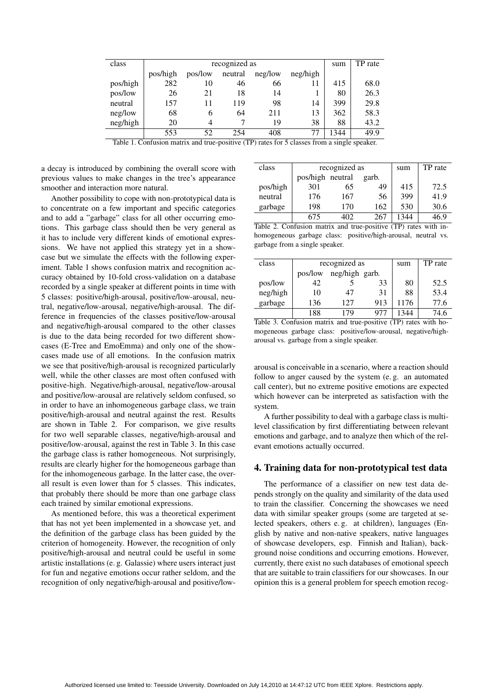| class    | recognized as |                |         |         |          | sum  | TP rate |
|----------|---------------|----------------|---------|---------|----------|------|---------|
|          | pos/high      | pos/low        | neutral | neg/low | neg/high |      |         |
| pos/high | 282           | 10             | 46      | 66      | 11       | 415  | 68.0    |
| pos/low  | 26            | 21             | 18      | 14      |          | 80   | 26.3    |
| neutral  | 157           | 11             | 119     | 98      | 14       | 399  | 29.8    |
| neg/low  | 68            | 6              | 64      | 211     | 13       | 362  | 58.3    |
| neg/high | 20            | $\overline{4}$ |         | 19      | 38       | 88   | 43.2    |
|          | 553           | 52             | 254     | 408     | 77       | 1344 | 49.9    |

Table 1. Confusion matrix and true-positive (TP) rates for 5 classes from a single speaker.

a decay is introduced by combining the overall score with previous values to make changes in the tree's appearance smoother and interaction more natural.

Another possibility to cope with non-prototypical data is to concentrate on a few important and specific categories and to add a "garbage" class for all other occurring emotions. This garbage class should then be very general as it has to include very different kinds of emotional expressions. We have not applied this strategy yet in a showcase but we simulate the effects with the following experiment. Table 1 shows confusion matrix and recognition accuracy obtained by 10-fold cross-validation on a database recorded by a single speaker at different points in time with 5 classes: positive/high-arousal, positive/low-arousal, neutral, negative/low-arousal, negative/high-arousal. The difference in frequencies of the classes positive/low-arousal and negative/high-arousal compared to the other classes is due to the data being recorded for two different showcases (E-Tree and EmoEmma) and only one of the showcases made use of all emotions. In the confusion matrix we see that positive/high-arousal is recognized particularly well, while the other classes are most often confused with positive-high. Negative/high-arousal, negative/low-arousal and positive/low-arousal are relatively seldom confused, so in order to have an inhomogeneous garbage class, we train positive/high-arousal and neutral against the rest. Results are shown in Table 2. For comparison, we give results for two well separable classes, negative/high-arousal and positive/low-arousal, against the rest in Table 3. In this case the garbage class is rather homogeneous. Not surprisingly, results are clearly higher for the homogeneous garbage than for the inhomogeneous garbage. In the latter case, the overall result is even lower than for 5 classes. This indicates, that probably there should be more than one garbage class each trained by similar emotional expressions.

As mentioned before, this was a theoretical experiment that has not yet been implemented in a showcase yet, and the definition of the garbage class has been guided by the criterion of homogeneity. However, the recognition of only positive/high-arousal and neutral could be useful in some artistic installations (e. g. Galassie) where users interact just for fun and negative emotions occur rather seldom, and the recognition of only negative/high-arousal and positive/low-

| class    |                  | recognized as | sum   | TP rate |      |
|----------|------------------|---------------|-------|---------|------|
|          | pos/high neutral |               | garb. |         |      |
| pos/high | 301              | 65            | 49    | 415     | 72.5 |
| neutral  | 176              | 167           | 56    | 399     | 41.9 |
| garbage  | 198              | 170           | 162   | 530     | 30.6 |
|          |                  | 102           | 267   | 344     | I6 9 |

Table 2. Confusion matrix and true-positive (TP) rates with inhomogeneous garbage class: positive/high-arousal, neutral vs. garbage from a single speaker.

| class    |         | recognized as  | sum | TP rate |      |
|----------|---------|----------------|-----|---------|------|
|          | pos/low | neg/high garb. |     |         |      |
| pos/low  | 42      |                | 33  | 80      | 52.5 |
| neg/high | 10      | 47             | 31  | 88      | 53.4 |
| garbage  | 136     | 127            | 913 | 1176    | 77.6 |
|          | 188     | 179            |     | 1344    | 74.6 |

Table 3. Confusion matrix and true-positive (TP) rates with homogeneous garbage class: positive/low-arousal, negative/higharousal vs. garbage from a single speaker.

arousal is conceivable in a scenario, where a reaction should follow to anger caused by the system (e. g. an automated call center), but no extreme positive emotions are expected which however can be interpreted as satisfaction with the system.

A further possibility to deal with a garbage class is multilevel classification by first differentiating between relevant emotions and garbage, and to analyze then which of the relevant emotions actually occurred.

#### 4. Training data for non-prototypical test data

The performance of a classifier on new test data depends strongly on the quality and similarity of the data used to train the classifier. Concerning the showcases we need data with similar speaker groups (some are targeted at selected speakers, others e. g. at children), languages (English by native and non-native speakers, native languages of showcase developers, esp. Finnish and Italian), background noise conditions and occurring emotions. However, currently, there exist no such databases of emotional speech that are suitable to train classifiers for our showcases. In our opinion this is a general problem for speech emotion recog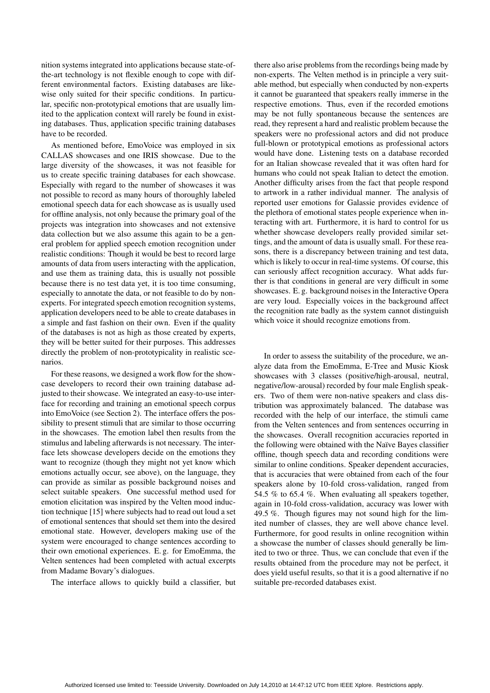nition systems integrated into applications because state-ofthe-art technology is not flexible enough to cope with different environmental factors. Existing databases are likewise only suited for their specific conditions. In particular, specific non-prototypical emotions that are usually limited to the application context will rarely be found in existing databases. Thus, application specific training databases have to be recorded.

As mentioned before, EmoVoice was employed in six CALLAS showcases and one IRIS showcase. Due to the large diversity of the showcases, it was not feasible for us to create specific training databases for each showcase. Especially with regard to the number of showcases it was not possible to record as many hours of thoroughly labeled emotional speech data for each showcase as is usually used for offline analysis, not only because the primary goal of the projects was integration into showcases and not extensive data collection but we also assume this again to be a general problem for applied speech emotion recognition under realistic conditions: Though it would be best to record large amounts of data from users interacting with the application, and use them as training data, this is usually not possible because there is no test data yet, it is too time consuming, especially to annotate the data, or not feasible to do by nonexperts. For integrated speech emotion recognition systems, application developers need to be able to create databases in a simple and fast fashion on their own. Even if the quality of the databases is not as high as those created by experts, they will be better suited for their purposes. This addresses directly the problem of non-prototypicality in realistic scenarios.

For these reasons, we designed a work flow for the showcase developers to record their own training database adjusted to their showcase. We integrated an easy-to-use interface for recording and training an emotional speech corpus into EmoVoice (see Section 2). The interface offers the possibility to present stimuli that are similar to those occurring in the showcases. The emotion label then results from the stimulus and labeling afterwards is not necessary. The interface lets showcase developers decide on the emotions they want to recognize (though they might not yet know which emotions actually occur, see above), on the language, they can provide as similar as possible background noises and select suitable speakers. One successful method used for emotion elicitation was inspired by the Velten mood induction technique [15] where subjects had to read out loud a set of emotional sentences that should set them into the desired emotional state. However, developers making use of the system were encouraged to change sentences according to their own emotional experiences. E. g. for EmoEmma, the Velten sentences had been completed with actual excerpts from Madame Bovary's dialogues.

The interface allows to quickly build a classifier, but

there also arise problems from the recordings being made by non-experts. The Velten method is in principle a very suitable method, but especially when conducted by non-experts it cannot be guaranteed that speakers really immerse in the respective emotions. Thus, even if the recorded emotions may be not fully spontaneous because the sentences are read, they represent a hard and realistic problem because the speakers were no professional actors and did not produce full-blown or prototypical emotions as professional actors would have done. Listening tests on a database recorded for an Italian showcase revealed that it was often hard for humans who could not speak Italian to detect the emotion. Another difficulty arises from the fact that people respond to artwork in a rather individual manner. The analysis of reported user emotions for Galassie provides evidence of the plethora of emotional states people experience when interacting with art. Furthermore, it is hard to control for us whether showcase developers really provided similar settings, and the amount of data is usually small. For these reasons, there is a discrepancy between training and test data, which is likely to occur in real-time systems. Of course, this can seriously affect recognition accuracy. What adds further is that conditions in general are very difficult in some showcases. E. g. background noises in the Interactive Opera are very loud. Especially voices in the background affect the recognition rate badly as the system cannot distinguish which voice it should recognize emotions from.

In order to assess the suitability of the procedure, we analyze data from the EmoEmma, E-Tree and Music Kiosk showcases with 3 classes (positive/high-arousal, neutral, negative/low-arousal) recorded by four male English speakers. Two of them were non-native speakers and class distribution was approximately balanced. The database was recorded with the help of our interface, the stimuli came from the Velten sentences and from sentences occurring in the showcases. Overall recognition accuracies reported in the following were obtained with the Naïve Bayes classifier offline, though speech data and recording conditions were similar to online conditions. Speaker dependent accuracies, that is accuracies that were obtained from each of the four speakers alone by 10-fold cross-validation, ranged from 54.5 % to 65.4 %. When evaluating all speakers together, again in 10-fold cross-validation, accuracy was lower with 49.5 %. Though figures may not sound high for the limited number of classes, they are well above chance level. Furthermore, for good results in online recognition within a showcase the number of classes should generally be limited to two or three. Thus, we can conclude that even if the results obtained from the procedure may not be perfect, it does yield useful results, so that it is a good alternative if no suitable pre-recorded databases exist.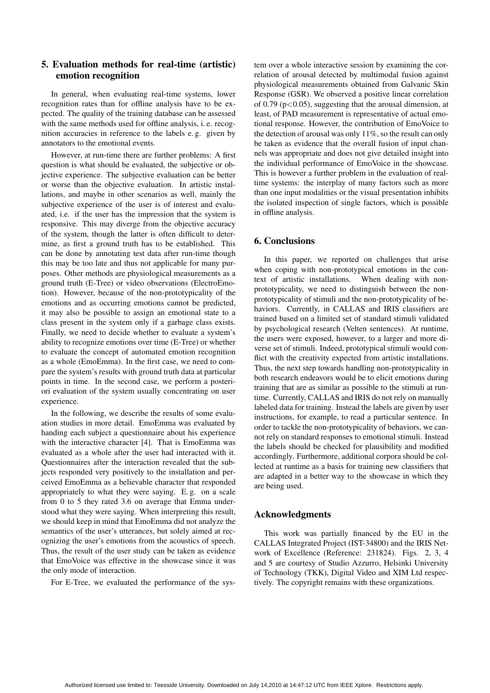# 5. Evaluation methods for real-time (artistic) emotion recognition

In general, when evaluating real-time systems, lower recognition rates than for offline analysis have to be expected. The quality of the training database can be assessed with the same methods used for offline analysis, i. e. recognition accuracies in reference to the labels e. g. given by annotators to the emotional events.

However, at run-time there are further problems: A first question is what should be evaluated, the subjective or objective experience. The subjective evaluation can be better or worse than the objective evaluation. In artistic installations, and maybe in other scenarios as well, mainly the subjective experience of the user is of interest and evaluated, i.e. if the user has the impression that the system is responsive. This may diverge from the objective accuracy of the system, though the latter is often difficult to determine, as first a ground truth has to be established. This can be done by annotating test data after run-time though this may be too late and thus not applicable for many purposes. Other methods are physiological measurements as a ground truth (E-Tree) or video observations (ElectroEmotion). However, because of the non-prototypicality of the emotions and as occurring emotions cannot be predicted, it may also be possible to assign an emotional state to a class present in the system only if a garbage class exists. Finally, we need to decide whether to evaluate a system's ability to recognize emotions over time (E-Tree) or whether to evaluate the concept of automated emotion recognition as a whole (EmoEmma). In the first case, we need to compare the system's results with ground truth data at particular points in time. In the second case, we perform a posteriori evaluation of the system usually concentrating on user experience.

In the following, we describe the results of some evaluation studies in more detail. EmoEmma was evaluated by handing each subject a questionnaire about his experience with the interactive character [4]. That is EmoEmma was evaluated as a whole after the user had interacted with it. Questionnaires after the interaction revealed that the subjects responded very positively to the installation and perceived EmoEmma as a believable character that responded appropriately to what they were saying. E. g. on a scale from 0 to 5 they rated 3.6 on average that Emma understood what they were saying. When interpreting this result, we should keep in mind that EmoEmma did not analyze the semantics of the user's utterances, but solely aimed at recognizing the user's emotions from the acoustics of speech. Thus, the result of the user study can be taken as evidence that EmoVoice was effective in the showcase since it was the only mode of interaction.

For E-Tree, we evaluated the performance of the sys-

tem over a whole interactive session by examining the correlation of arousal detected by multimodal fusion against physiological measurements obtained from Galvanic Skin Response (GSR). We observed a positive linear correlation of 0.79 ( $p < 0.05$ ), suggesting that the arousal dimension, at least, of PAD measurement is representative of actual emotional response. However, the contribution of EmoVoice to the detection of arousal was only  $11\%$ , so the result can only be taken as evidence that the overall fusion of input channels was appropriate and does not give detailed insight into the individual performance of EmoVoice in the showcase. This is however a further problem in the evaluation of realtime systems: the interplay of many factors such as more than one input modalities or the visual presentation inhibits the isolated inspection of single factors, which is possible in offline analysis.

## 6. Conclusions

In this paper, we reported on challenges that arise when coping with non-prototypical emotions in the context of artistic installations. When dealing with nonprototypicality, we need to distinguish between the nonprototypicality of stimuli and the non-prototypicality of behaviors. Currently, in CALLAS and IRIS classifiers are trained based on a limited set of standard stimuli validated by psychological research (Velten sentences). At runtime, the users were exposed, however, to a larger and more diverse set of stimuli. Indeed, prototypical stimuli would conflict with the creativity expected from artistic installations. Thus, the next step towards handling non-prototypicality in both research endeavors would be to elicit emotions during training that are as similar as possible to the stimuli at runtime. Currently, CALLAS and IRIS do not rely on manually labeled data for training. Instead the labels are given by user instructions, for example, to read a particular sentence. In order to tackle the non-prototypicality of behaviors, we cannot rely on standard responses to emotional stimuli. Instead the labels should be checked for plausibility and modified accordingly. Furthermore, additional corpora should be collected at runtime as a basis for training new classifiers that are adapted in a better way to the showcase in which they are being used.

### Acknowledgments

This work was partially financed by the EU in the CALLAS Integrated Project (IST-34800) and the IRIS Network of Excellence (Reference: 231824). Figs. 2, 3, 4 and 5 are courtesy of Studio Azzurro, Helsinki University of Technology (TKK), Digital Video and XIM Ltd respectively. The copyright remains with these organizations.